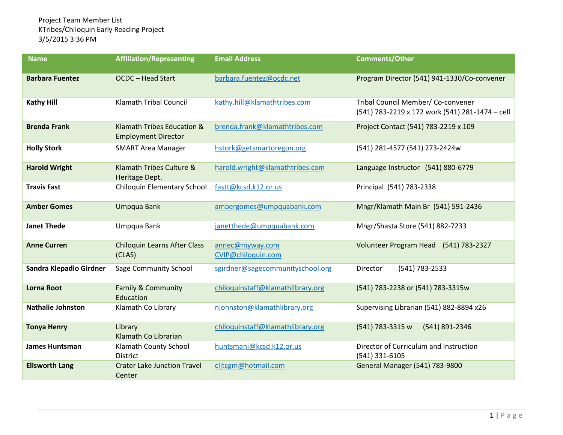| <b>Name</b>              | <b>Affiliation/Representing</b>                          | <b>Email Address</b>                  | <b>Comments/Other</b>                                                                 |
|--------------------------|----------------------------------------------------------|---------------------------------------|---------------------------------------------------------------------------------------|
| <b>Barbara Fuentez</b>   | <b>OCDC - Head Start</b>                                 | barbara.fuentez@ocdc.net              | Program Director (541) 941-1330/Co-convener                                           |
| <b>Kathy Hill</b>        | <b>Klamath Tribal Council</b>                            | kathy.hill@klamathtribes.com          | Tribal Council Member/ Co-convener<br>(541) 783-2219 x 172 work (541) 281-1474 - cell |
| <b>Brenda Frank</b>      | Klamath Tribes Education &<br><b>Employment Director</b> | brenda.frank@klamathtribes.com        | Project Contact (541) 783-2219 x 109                                                  |
| <b>Holly Stork</b>       | <b>SMART Area Manager</b>                                | hstork@getsmartoregon.org             | (541) 281-4577 (541) 273-2424w                                                        |
| <b>Harold Wright</b>     | Klamath Tribes Culture &<br>Heritage Dept.               | harold.wright@klamathtribes.com       | Language Instructor (541) 880-6779                                                    |
| <b>Travis Fast</b>       | Chiloquin Elementary School                              | fastt@kcsd.k12.or.us                  | Principal (541) 783-2338                                                              |
| <b>Amber Gomes</b>       | Umpqua Bank                                              | ambergomes@umpquabank.com             | Mngr/Klamath Main Br (541) 591-2436                                                   |
| <b>Janet Thede</b>       | Umpqua Bank                                              | janetthede@umpquabank.com             | Mngr/Shasta Store (541) 882-7233                                                      |
| <b>Anne Curren</b>       | <b>Chiloquin Learns After Class</b><br>(CLAS)            | annec@myway.com<br>CVIP@chiloquin.com | (541) 783-2327<br>Volunteer Program Head                                              |
| Sandra Klepadlo Girdner  | Sage Community School                                    | sgirdner@sagecommunityschool.org      | (541) 783-2533<br><b>Director</b>                                                     |
| <b>Lorna Root</b>        | <b>Family &amp; Community</b><br>Education               | chiloquinstaff@klamathlibrary.org     | (541) 783-2238 or (541) 783-3315w                                                     |
| <b>Nathalie Johnston</b> | Klamath Co Library                                       | njohnston@klamathlibrary.org          | Supervising Librarian (541) 882-8894 x26                                              |
| <b>Tonya Henry</b>       | Library<br>Klamath Co Librarian                          | chiloquinstaff@klamathlibrary.org     | (541) 783-3315 w<br>(541) 891-2346                                                    |
| <b>James Huntsman</b>    | Klamath County School<br><b>District</b>                 | huntsmanj@kcsd.k12.or.us              | Director of Curriculum and Instruction<br>(541) 331-6105                              |
| <b>Ellsworth Lang</b>    | <b>Crater Lake Junction Travel</b><br>Center             | cljtcgm@hotmail.com                   | General Manager (541) 783-9800                                                        |